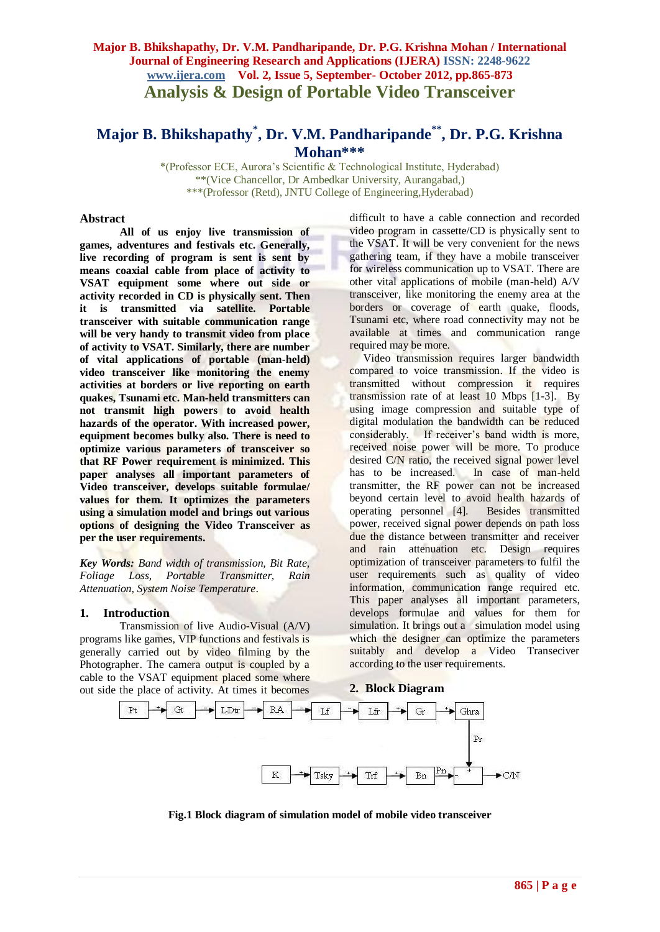# **Major B. Bhikshapathy, Dr. V.M. Pandharipande, Dr. P.G. Krishna Mohan / International Journal of Engineering Research and Applications (IJERA) ISSN: 2248-9622 www.ijera.com Vol. 2, Issue 5, September- October 2012, pp.865-873 Analysis & Design of Portable Video Transceiver**

# **Major B. Bhikshapathy\* , Dr. V.M. Pandharipande\*\* , Dr. P.G. Krishna Mohan\*\*\***

\*(Professor ECE, Aurora's Scientific & Technological Institute, Hyderabad) \*\*(Vice Chancellor, Dr Ambedkar University, Aurangabad,) \*\*\*(Professor (Retd), JNTU College of Engineering,Hyderabad)

#### **Abstract**

**All of us enjoy live transmission of games, adventures and festivals etc. Generally, live recording of program is sent is sent by means coaxial cable from place of activity to VSAT equipment some where out side or activity recorded in CD is physically sent. Then it is transmitted via satellite. Portable transceiver with suitable communication range will be very handy to transmit video from place of activity to VSAT. Similarly, there are number of vital applications of portable (man-held) video transceiver like monitoring the enemy activities at borders or live reporting on earth quakes, Tsunami etc. Man-held transmitters can not transmit high powers to avoid health hazards of the operator. With increased power, equipment becomes bulky also. There is need to optimize various parameters of transceiver so that RF Power requirement is minimized. This paper analyses all important parameters of Video transceiver, develops suitable formulae/ values for them. It optimizes the parameters using a simulation model and brings out various options of designing the Video Transceiver as per the user requirements.** 

*Key Words: Band width of transmission, Bit Rate, Foliage Loss, Portable Transmitter, Rain Attenuation, System Noise Temperature*.

#### **1. Introduction**

Transmission of live Audio-Visual (A/V) programs like games, VIP functions and festivals is generally carried out by video filming by the Photographer. The camera output is coupled by a cable to the VSAT equipment placed some where out side the place of activity. At times it becomes

difficult to have a cable connection and recorded video program in cassette/CD is physically sent to the VSAT. It will be very convenient for the news gathering team, if they have a mobile transceiver for wireless communication up to VSAT. There are other vital applications of mobile (man-held) A/V transceiver, like monitoring the enemy area at the borders or coverage of earth quake, floods, Tsunami etc, where road connectivity may not be available at times and communication range required may be more.

 Video transmission requires larger bandwidth compared to voice transmission. If the video is transmitted without compression it requires transmission rate of at least 10 Mbps [1-3]. By using image compression and suitable type of digital modulation the bandwidth can be reduced considerably. If receiver's band width is more, received noise power will be more. To produce desired C/N ratio, the received signal power level has to be increased. In case of man-held transmitter, the RF power can not be increased beyond certain level to avoid health hazards of operating personnel [4]. Besides transmitted power, received signal power depends on path loss due the distance between transmitter and receiver and rain attenuation etc. Design requires optimization of transceiver parameters to fulfil the user requirements such as quality of video information, communication range required etc. This paper analyses all important parameters, develops formulae and values for them for simulation. It brings out a simulation model using which the designer can optimize the parameters suitably and develop a Video Transeciver according to the user requirements.

#### **2. Block Diagram**



**Fig.1 Block diagram of simulation model of mobile video transceiver**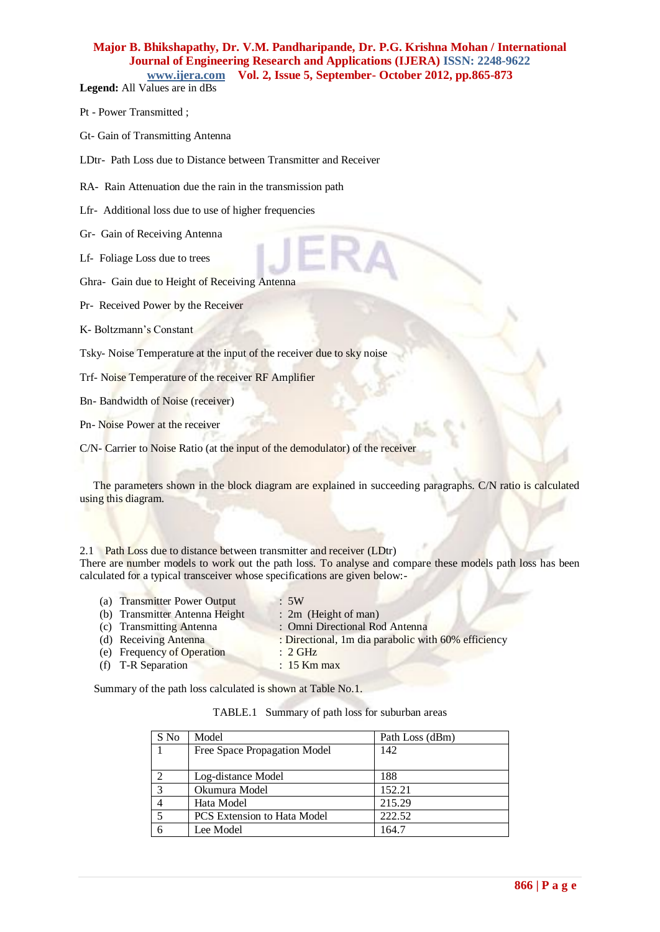**Legend:** All Values are in dBs

- Pt Power Transmitted ;
- Gt- Gain of Transmitting Antenna

LDtr- Path Loss due to Distance between Transmitter and Receiver

RA- Rain Attenuation due the rain in the transmission path

Lfr- Additional loss due to use of higher frequencies

Gr- Gain of Receiving Antenna

Lf- Foliage Loss due to trees

Ghra- Gain due to Height of Receiving Antenna

Pr- Received Power by the Receiver

K- Boltzmann's Constant

Tsky- Noise Temperature at the input of the receiver due to sky noise

Trf- Noise Temperature of the receiver RF Amplifier

Bn- Bandwidth of Noise (receiver)

Pn- Noise Power at the receiver

C/N- Carrier to Noise Ratio (at the input of the demodulator) of the receiver

The parameters shown in the block diagram are explained in succeeding paragraphs. C/N ratio is calculated using this diagram.

2.1 Path Loss due to distance between transmitter and receiver (LDtr) There are number models to work out the path loss. To analyse and compare these models path loss has been calculated for a typical transceiver whose specifications are given below:-

| (a) Transmitter Power Output   | $\cdot$ 5W                                          |
|--------------------------------|-----------------------------------------------------|
| (b) Transmitter Antenna Height | $: 2m$ (Height of man)                              |
| (c) Transmitting Antenna       | : Omni Directional Rod Antenna                      |
| (d) Receiving Antenna          | : Directional, 1m dia parabolic with 60% efficiency |
| (e) Frequency of Operation     | $\therefore$ 2 GHz                                  |
| (f) T-R Separation             | $: 15$ Km max                                       |

Summary of the path loss calculated is shown at Table No.1.

|  | TABLE.1 Summary of path loss for suburban areas |  |  |  |  |
|--|-------------------------------------------------|--|--|--|--|
|--|-------------------------------------------------|--|--|--|--|

| S No | Model                              | Path Loss (dBm) |
|------|------------------------------------|-----------------|
|      | Free Space Propagation Model       | 142             |
|      |                                    |                 |
|      | Log-distance Model                 | 188             |
| 3    | Okumura Model                      | 152.21          |
|      | Hata Model                         | 215.29          |
| 5    | <b>PCS</b> Extension to Hata Model | 222.52          |
| 6    | Lee Model                          | 164.7           |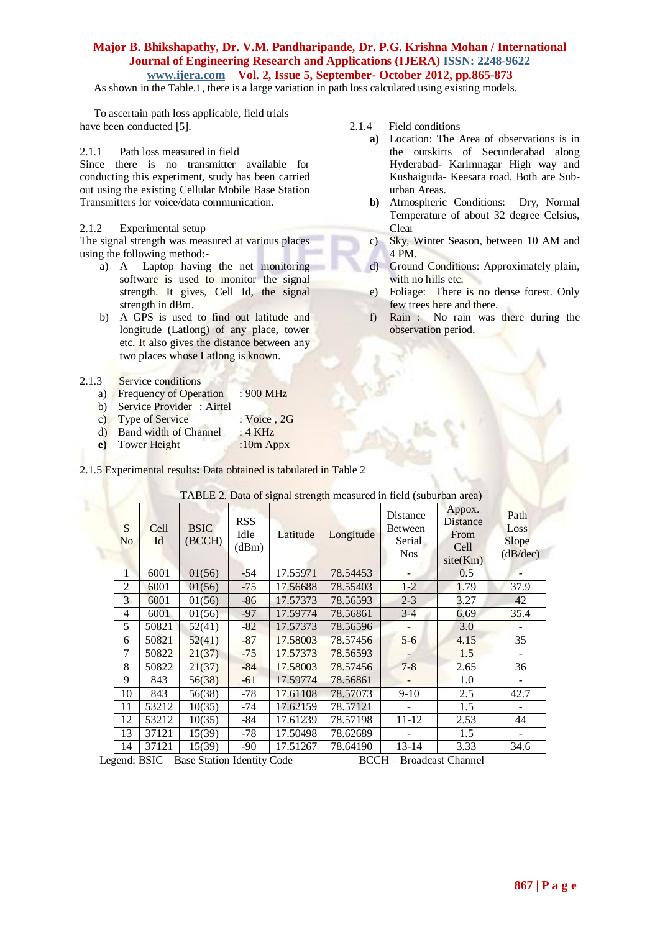As shown in the Table.1, there is a large variation in path loss calculated using existing models.

 To ascertain path loss applicable, field trials have been conducted [5].

#### 2.1.1 Path loss measured in field

Since there is no transmitter available for conducting this experiment, study has been carried out using the existing Cellular Mobile Base Station Transmitters for voice/data communication.

### 2.1.2 Experimental setup

The signal strength was measured at various places using the following method:-

- a) A Laptop having the net monitoring software is used to monitor the signal strength. It gives, Cell Id, the signal strength in dBm.
- b) A GPS is used to find out latitude and longitude (Latlong) of any place, tower etc. It also gives the distance between any two places whose Latlong is known.

#### 2.1.3 Service conditions

- a) Frequency of Operation : 900 MHz
- b) Service Provider : Airtel
- c) Type of Service : Voice , 2G
- d) Band width of Channel : 4 KHz
- **e**) Tower Height :10m Appx

2.1.5 Experimental results**:** Data obtained is tabulated in Table 2

| S<br>N <sub>o</sub> | Cell<br>Id | <b>BSIC</b><br>(BCCH) | <b>RSS</b><br>Idle<br>(dBm) | Latitude | Longitude | Distance<br>Between<br>Serial<br><b>Nos</b> | Appox.<br>Distance<br>From<br>Cell<br>site(Km) | Path<br>Loss<br>Slope<br>(dB/dec) |
|---------------------|------------|-----------------------|-----------------------------|----------|-----------|---------------------------------------------|------------------------------------------------|-----------------------------------|
| 1                   | 6001       | 01(56)                | $-54$                       | 17.55971 | 78.54453  |                                             | 0.5                                            |                                   |
| $\overline{2}$      | 6001       | 01(56)                | $-75$                       | 17.56688 | 78.55403  | $1 - 2$                                     | 1.79                                           | 37.9                              |
| 3                   | 6001       | 01(56)                | $-86$                       | 17.57373 | 78.56593  | $2 - 3$                                     | 3.27                                           | 42                                |
| 4                   | 6001       | 01(56)                | $-97$                       | 17.59774 | 78.56861  | $3-4$                                       | 6.69                                           | 35.4                              |
| 5                   | 50821      | 52(41)                | $-82$                       | 17.57373 | 78.56596  |                                             | 3.0                                            |                                   |
| 6                   | 50821      | 52(41)                | -87                         | 17.58003 | 78.57456  | $5 - 6$                                     | 4.15                                           | 35                                |
| 7                   | 50822      | 21(37)                | $-75$                       | 17.57373 | 78.56593  |                                             | 1.5                                            |                                   |
| 8                   | 50822      | 21(37)                | $-84$                       | 17.58003 | 78.57456  | $7 - 8$                                     | 2.65                                           | 36                                |
| 9                   | 843        | 56(38)                | $-61$                       | 17.59774 | 78.56861  |                                             | 1.0                                            |                                   |
| 10                  | 843        | 56(38)                | $-78$                       | 17.61108 | 78.57073  | $9-10$                                      | 2.5                                            | 42.7                              |
| 11                  | 53212      | 10(35)                | $-74$                       | 17.62159 | 78.57121  |                                             | 1.5                                            |                                   |
| 12                  | 53212      | 10(35)                | -84                         | 17.61239 | 78.57198  | $11 - 12$                                   | 2.53                                           | 44                                |
| 13                  | 37121      | 15(39)                | -78                         | 17.50498 | 78.62689  |                                             | 1.5                                            |                                   |
| 14                  | 37121      | 15(39)                | -90                         | 17.51267 | 78.64190  | 13-14                                       | 3.33                                           | 34.6                              |

# TABLE 2. Data of signal strength measured in field (suburban area)

2.1.4 Field conditions

- **a)** Location: The Area of observations is in the outskirts of Secunderabad along Hyderabad- Karimnagar High way and Kushaiguda- Keesara road. Both are Suburban Areas.
- **b)** Atmospheric Conditions: Dry, Normal Temperature of about 32 degree Celsius, Clear
- c) Sky, Winter Season, between 10 AM and 4 PM.
- d) Ground Conditions: Approximately plain, with no hills etc.
- e) Foliage: There is no dense forest. Only few trees here and there.
- f) Rain : No rain was there during the observation period.

Legend: BSIC – Base Station Identity CodeBCCH – Broadcast Channel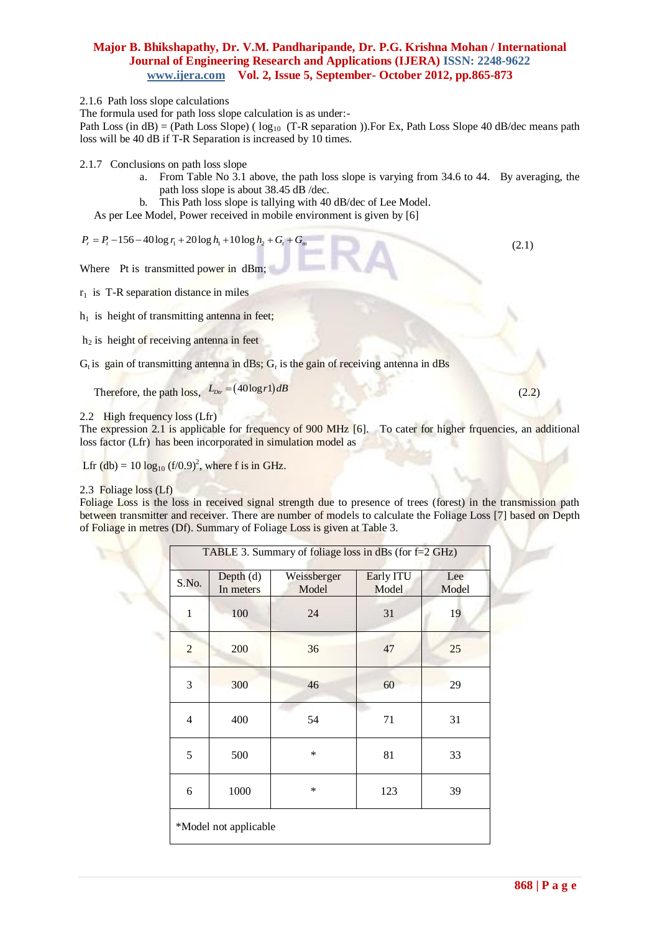2.1.6 Path loss slope calculations

The formula used for path loss slope calculation is as under:-

Path Loss (in dB) = (Path Loss Slope) ( $\log_{10}$  (T-R separation )). For Ex, Path Loss Slope 40 dB/dec means path loss will be 40 dB if T-R Separation is increased by 10 times.

2.1.7 Conclusions on path loss slope

- a. From Table No 3.1 above, the path loss slope is varying from 34.6 to 44. By averaging, the path loss slope is about 38.45 dB /dec.
- b. This Path loss slope is tallying with 40 dB/dec of Lee Model.

As per Lee Model, Power received in mobile environment is given by [6]  $P_r = P_t - 156 - 40 \log r_1 + 20 \log h_1 + 10 \log h_2 + G_t + G_m$ 

$$
P_r = P_t - 156 - 40 \log r_1 + 20 \log h_1 + 10 \log h_2 + G_t + G_m
$$

Where Pt is transmitted power in dBm;  $r_1$  is T-R separation distance in miles

 $h_1$  is height of transmitting antenna in feet;

 $h<sub>2</sub>$  is height of receiving antenna in feet

 $G_t$  is gain of transmitting antenna in dBs;  $G_t$  is the gain of receiving antenna in dBs

Therefore, the path  $\log s$ ,  $L_{\text{Dir}} = (40 \log r) dB$ 

2.2 High frequency loss (Lfr)

The expression 2.1 is applicable for frequency of 900 MHz [6]. To cater for higher frquencies, an additional loss factor (Lfr) has been incorporated in simulation model as

Lfr (db) =  $10 \log_{10} (f/0.9)^2$ , where f is in GHz.

#### 2.3 Foliage loss (Lf)

Foliage Loss is the loss in received signal strength due to presence of trees (forest) in the transmission path between transmitter and receiver. There are number of models to calculate the Foliage Loss [7] based on Depth of Foliage in metres (Df). Summary of Foliage Loss is given at Table 3.

|                |                          | TABLE 3. Summary of foliage loss in dBs (for f=2 GHz) |                    |              |
|----------------|--------------------------|-------------------------------------------------------|--------------------|--------------|
| S.No.          | Depth $(d)$<br>In meters | Weissberger<br>Model                                  | Early ITU<br>Model | Lee<br>Model |
| $\mathbf{1}$   | 100                      | 24                                                    | 31                 | 19           |
| $\overline{2}$ | 200                      | 36                                                    | 47                 | 25           |
| 3              | 300                      | 46                                                    | 60                 | 29           |
| $\overline{4}$ | 400                      | 54                                                    | 71                 | 31           |
| 5              | 500                      | *                                                     | 81                 | 33           |
| 6              | 1000                     | *                                                     | 123                | 39           |
|                | *Model not applicable    |                                                       |                    |              |

 $(2.1)$ 

 $(2.2)$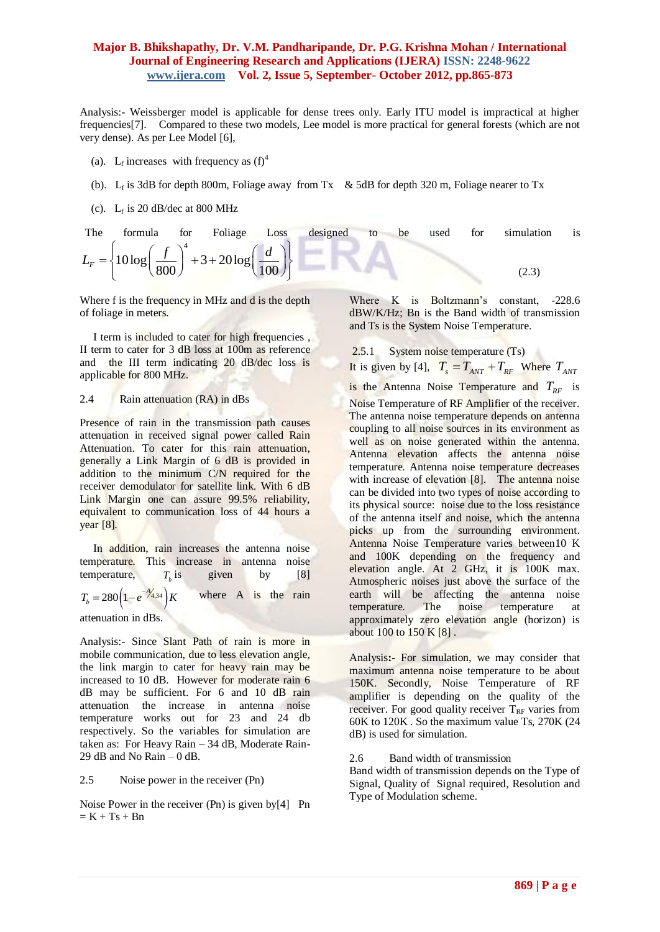Analysis:- Weissberger model is applicable for dense trees only. Early ITU model is impractical at higher frequencies[7]. Compared to these two models, Lee model is more practical for general forests (which are not very dense). As per Lee Model [6],

- (a). L<sub>f</sub> increases with frequency as  $(f)^4$
- (b).  $L_f$  is 3dB for depth 800m, Foliage away from Tx & 5dB for depth 320 m, Foliage nearer to Tx
	- (c).  $L_f$  is 20 dB/dec at 800 MHz

| The | formula                                                                                                    | for | Foliage Loss | designed | to<br>be | used | for | simulation | is |
|-----|------------------------------------------------------------------------------------------------------------|-----|--------------|----------|----------|------|-----|------------|----|
|     | $L_F = \left\{ 10 \log \left( \frac{f}{800} \right)^4 + 3 + 20 \log \left( \frac{d}{100} \right) \right\}$ |     |              |          |          |      |     |            |    |

Where f is the frequency in MHz and d is the depth of foliage in meters.

 I term is included to cater for high frequencies , II term to cater for 3 dB loss at 100m as reference and the III term indicating 20 dB/dec loss is applicable for 800 MHz.

#### 2.4 Rain attenuation (RA) in dBs

Presence of rain in the transmission path causes attenuation in received signal power called Rain Attenuation. To cater for this rain attenuation, generally a Link Margin of 6 dB is provided in addition to the minimum C/N required for the receiver demodulator for satellite link. With 6 dB Link Margin one can assure 99.5% reliability, equivalent to communication loss of 44 hours a year [8].

In addition, rain increases the antenna noise temperature. This increase in antenna noise temperature,  $T<sub>b</sub>$  is given by  $[8]$  $T_b = 280 \left(1 - e^{-\frac{\lambda_{4,34}}{\lambda}}\right) K$  where A is the rain

attenuation in dBs.

Analysis:- Since Slant Path of rain is more in mobile communication, due to less elevation angle, the link margin to cater for heavy rain may be increased to 10 dB. However for moderate rain 6 dB may be sufficient. For 6 and 10 dB rain attenuation the increase in antenna noise temperature works out for 23 and 24 db respectively. So the variables for simulation are taken as: For Heavy Rain – 34 dB, Moderate Rain-29 dB and No Rain – 0 dB.

#### 2.5 Noise power in the receiver (Pn)

Noise Power in the receiver (Pn) is given by[4] Pn  $= K + Ts + Bn$ 

Where K is Boltzmann's constant, -228.6 dBW/K/Hz; Bn is the Band width of transmission and Ts is the System Noise Temperature.

2.5.1 System noise temperature (Ts)

It is given by [4],  $T_s = T_{ANT} + T_{RF}$  Where  $T_{ANT}$ is the Antenna Noise Temperature and  $T_{RF}$  is Noise Temperature of RF Amplifier of the receiver. The antenna noise temperature depends on antenna coupling to all noise sources in its environment as well as on noise generated within the antenna. Antenna elevation affects the antenna noise temperature. Antenna noise temperature decreases with increase of elevation [8]. The antenna noise can be divided into two types of noise according to its physical source: noise due to the loss resistance of the antenna itself and noise, which the antenna picks up from the surrounding environment. Antenna Noise Temperature varies between10 K and 100K depending on the frequency and elevation angle. At 2 GHz, it is 100K max. Atmospheric noises just above the surface of the earth will be affecting the antenna noise temperature. The noise temperature at approximately zero elevation angle (horizon) is about 100 to 150 K [8].

Analysis**:-** For simulation, we may consider that maximum antenna noise temperature to be about 150K. Secondly, Noise Temperature of RF amplifier is depending on the quality of the receiver. For good quality receiver  $T_{RF}$  varies from 60K to 120K . So the maximum value Ts, 270K (24 dB) is used for simulation.

2.6 Band width of transmission

Band width of transmission depends on the Type of Signal, Quality of Signal required, Resolution and Type of Modulation scheme.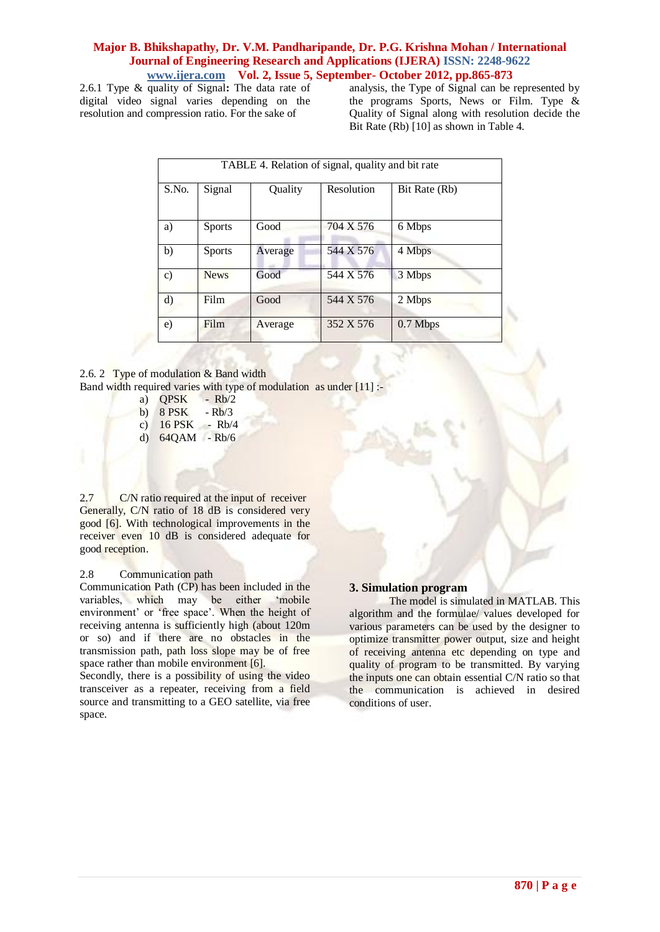2.6.1 Type & quality of Signal**:** The data rate of digital video signal varies depending on the resolution and compression ratio. For the sake of

analysis, the Type of Signal can be represented by the programs Sports, News or Film. Type & Quality of Signal along with resolution decide the Bit Rate (Rb) [10] as shown in Table 4.

|                 | TABLE 4. Relation of signal, quality and bit rate |         |            |               |  |  |  |  |  |  |  |  |
|-----------------|---------------------------------------------------|---------|------------|---------------|--|--|--|--|--|--|--|--|
| S.No.           | Signal                                            | Quality | Resolution | Bit Rate (Rb) |  |  |  |  |  |  |  |  |
| a)              | <b>Sports</b>                                     | Good    | 704 X 576  | 6 Mbps        |  |  |  |  |  |  |  |  |
| b)              | <b>Sports</b>                                     | Average | 544 X 576  | 4 Mbps        |  |  |  |  |  |  |  |  |
| $\mathcal{C}$ ) | <b>News</b>                                       | Good    | 544 X 576  | 3 Mbps        |  |  |  |  |  |  |  |  |
| $\rm d)$        | Film                                              | Good    | 544 X 576  | 2 Mbps        |  |  |  |  |  |  |  |  |
| e)              | Film                                              | Average | 352 X 576  | $0.7$ Mbps    |  |  |  |  |  |  |  |  |

2.6. 2 Type of modulation & Band width

Band width required varies with type of modulation as under [11] :-

- a) QPSK Rb/2
- b)  $8$  PSK  $-Rb/3$
- c) 16 PSK Rb/4 d) 64QAM - Rb/6
- 

2.7 C/N ratio required at the input of receiver Generally, C/N ratio of 18 dB is considered very good [6]. With technological improvements in the receiver even 10 dB is considered adequate for good reception.

#### 2.8 Communication path

Communication Path (CP) has been included in the variables, which may be either 'mobile environment' or 'free space'. When the height of receiving antenna is sufficiently high (about 120m or so) and if there are no obstacles in the transmission path, path loss slope may be of free space rather than mobile environment [6].

Secondly, there is a possibility of using the video transceiver as a repeater, receiving from a field source and transmitting to a GEO satellite, via free space.

# **3. Simulation program**

The model is simulated in MATLAB. This algorithm and the formulae/ values developed for various parameters can be used by the designer to optimize transmitter power output, size and height of receiving antenna etc depending on type and quality of program to be transmitted. By varying the inputs one can obtain essential C/N ratio so that the communication is achieved in desired conditions of user.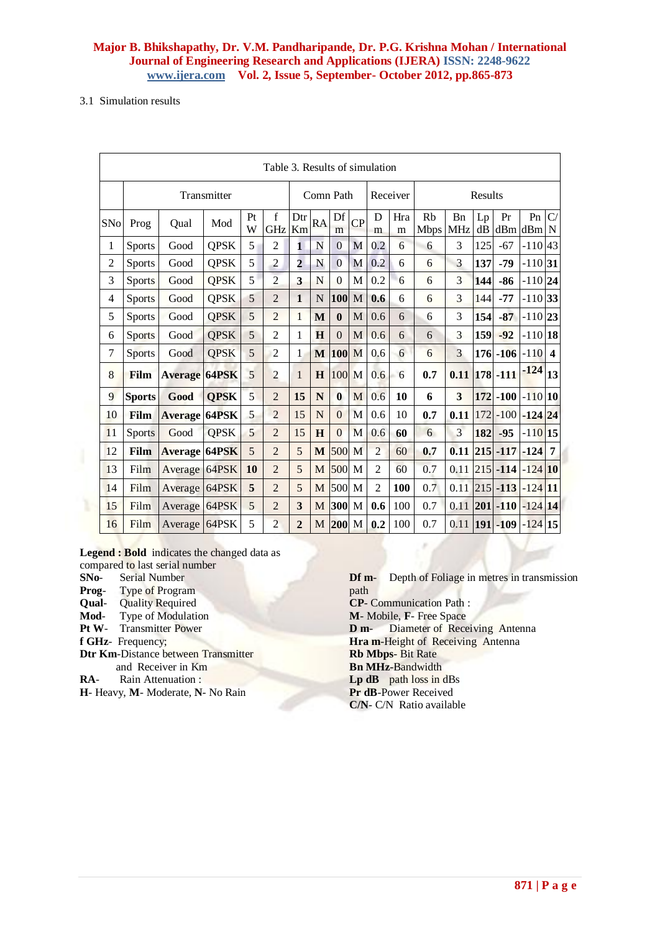#### 3.1 Simulation results

| Table 3. Results of simulation |               |                      |             |         |                |                |           |              |             |                |                     |                   |                                     |          |                          |            |                  |
|--------------------------------|---------------|----------------------|-------------|---------|----------------|----------------|-----------|--------------|-------------|----------------|---------------------|-------------------|-------------------------------------|----------|--------------------------|------------|------------------|
|                                | Transmitter   |                      |             |         |                |                |           | Comn Path    |             |                | Results<br>Receiver |                   |                                     |          |                          |            |                  |
| SNo                            | Prog          | Oual                 | Mod         | Pt<br>W | f<br>GHz Km    | Dtr            | <b>RA</b> | Df<br>m      | CP          | D<br>m         | Hra<br>m            | Rb<br><b>Mbps</b> | <b>B</b> <sub>n</sub><br><b>MHz</b> | Lp<br>dB | Pr<br>$dBm$ dBm $N$      | Pn         | C/               |
| 1                              | <b>Sports</b> | Good                 | <b>QPSK</b> | 5       | $\overline{2}$ | $\mathbf{1}$   | N         | $\Omega$     | M           | 0.2            | 6                   | 6                 | 3                                   | 125      | $-67$                    | $-110$     | 43               |
| $\overline{2}$                 | <b>Sports</b> | Good                 | <b>QPSK</b> | 5       | $\overline{2}$ | $\overline{2}$ | N         | $\Omega$     | M           | 0.2            | 6                   | 6                 | 3                                   | 137      | $-79$                    | $-110$ 31  |                  |
| 3                              | <b>Sports</b> | Good                 | <b>QPSK</b> | 5       | $\overline{2}$ | 3              | N         | $\theta$     | M           | 0.2            | 6                   | 6                 | 3                                   | 144      | $-86$                    | $-110$ 24  |                  |
| $\overline{4}$                 | <b>Sports</b> | Good                 | <b>QPSK</b> | 5       | $\overline{2}$ | $\mathbf{1}$   | N         | 100          | $\mathbf M$ | 0.6            | 6                   | 6                 | 3                                   | 144      | $-77$                    | $-110$ 33  |                  |
| 5                              | <b>Sports</b> | Good                 | <b>QPSK</b> | 5       | $\overline{2}$ | $\mathbf{1}$   | M         | $\bf{0}$     | M           | 0.6            | 6                   | 6                 | 3                                   | 154      | $-87$                    | $-110$  23 |                  |
| 6                              | <b>Sports</b> | Good                 | <b>QPSK</b> | 5       | $\overline{2}$ | 1              | H         | $\theta$     | M           | 0.6            | 6                   | 6                 | 3                                   | 159      | $-92$                    | $-110$ 18  |                  |
| 7                              | <b>Sports</b> | Good                 | <b>QPSK</b> | 5       | $\overline{c}$ | 1              | M         | <b>100</b>   | M           | 0.6            | 6                   | 6                 | 3                                   |          | $176 - 106 - 110$        |            | $\boldsymbol{4}$ |
| 8                              | Film          | <b>Average 64PSK</b> |             | 5       | $\overline{c}$ | $\mathbf{1}$   | H         | 100          | M           | 0.6            | 6                   | 0.7               | 0.11                                |          | $ 178 - 111$             | -124       | 13               |
| 9                              | <b>Sports</b> | Good                 | <b>QPSK</b> | 5       | $\overline{2}$ | 15             | N         | $\mathbf{0}$ | M           | 0.6            | 10                  | 6                 | 3                                   |          | $172$ -100 -110 10       |            |                  |
| 10                             | Film          | <b>Average 64PSK</b> |             | 5       | $\overline{2}$ | 15             | N         | $\theta$     | M           | 0.6            | 10                  | 0.7               | 0.11                                |          | 172 - 100 - 124 24       |            |                  |
| 11                             | <b>Sports</b> | Good                 | <b>QPSK</b> | 5       | $\overline{2}$ | 15             | H         | $\Omega$     | M           | 0.6            | 60                  | 6                 | 3                                   | 182      | $-95$                    | $-110$ 15  |                  |
| 12                             | Film          | <b>Average 64PSK</b> |             | 5       | $\overline{2}$ | 5              | M         | 500          | M           | $\overline{2}$ | 60                  | 0.7               | 0.11                                |          | $215$ -117 -124          |            |                  |
| 13                             | Film          | Average 64PSK        |             | 10      | $\overline{2}$ | 5              | M         | 500 M        |             | $\overline{2}$ | 60                  | 0.7               | 0.11                                |          | $215$ -114 -124 10       |            |                  |
| 14                             | Film          | Average 64PSK        |             | 5       | $\overline{2}$ | 5              | M         | 500          | M           | $\overline{2}$ | 100                 | 0.7               | 0.11                                |          | $ 215  - 113  - 124  11$ |            |                  |
| 15                             | Film          | Average 64PSK        |             | 5       | $\overline{2}$ | 3              | M         | 300 M        |             | 0.6            | 100                 | 0.7               | 0.11                                |          | $ 201  - 110  - 124  14$ |            |                  |
| 16                             | Film          | Average 64PSK        |             | 5       | $\overline{2}$ | $\overline{2}$ | M         | 200 M        |             | 0.2            | 100                 | 0.7               | 0.11                                |          | $ 191  - 109$            | $-124$ 15  |                  |

#### **Legend : Bold** indicates the changed data as

compared to last serial number

- **SNo** Serial Number
- **Prog-** Type of Program<br>**Qual-** Quality Required
- **Quality Required**
- **Mod** Type of Modulation
- **Pt W** Transmitter Power
- **f GHz** Frequency;
- **Dtr Km**-Distance between Transmitter and Receiver in Km
- **RA** Rain Attenuation :
- **H** Heavy, **M** Moderate, **N** No Rain

**Df m-** Depth of Foliage in metres in transmission path **CP**- Communication Path : **M**- Mobile, **F**- Free Space **D m-** Diameter of Receiving Antenna **Hra m**-Height of Receiving Antenna **Rb Mbps**- Bit Rate **Bn MHz**-Bandwidth **Lp dB** path loss in dBs **Pr dB**-Power Received **C/N**- C/N Ratio available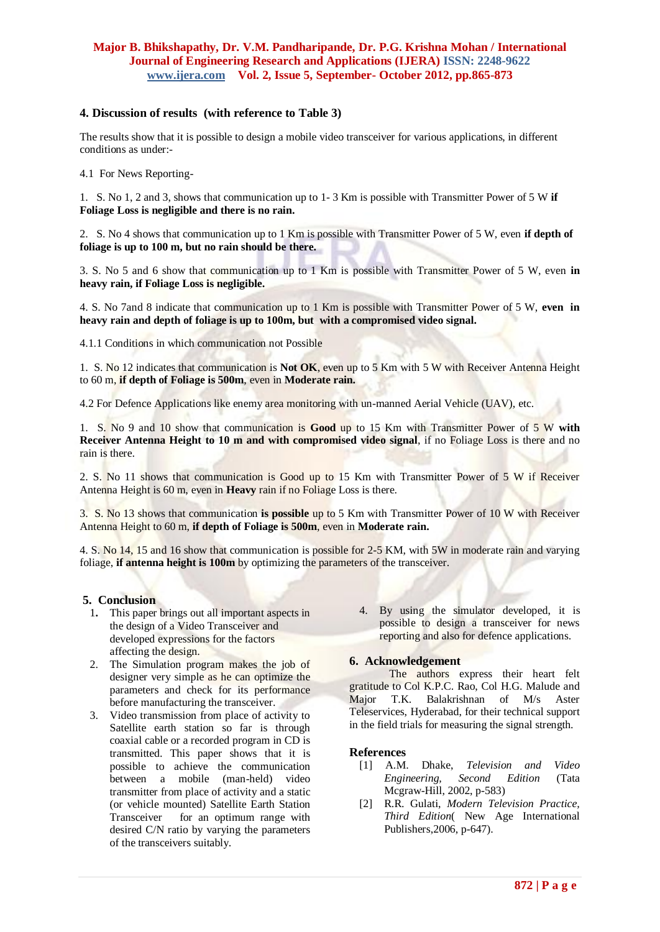## **4. Discussion of results (with reference to Table 3)**

The results show that it is possible to design a mobile video transceiver for various applications, in different conditions as under:-

4.1 For News Reporting-

1. S. No 1, 2 and 3, shows that communication up to 1- 3 Km is possible with Transmitter Power of 5 W **if Foliage Loss is negligible and there is no rain.**

2. S. No 4 shows that communication up to 1 Km is possible with Transmitter Power of 5 W, even **if depth of foliage is up to 100 m, but no rain should be there.**

3. S. No 5 and 6 show that communication up to 1 Km is possible with Transmitter Power of 5 W, even **in heavy rain, if Foliage Loss is negligible.**

4. S. No 7and 8 indicate that communication up to 1 Km is possible with Transmitter Power of 5 W, **even in heavy rain and depth of foliage is up to 100m, but with a compromised video signal.**

4.1.1 Conditions in which communication not Possible

1. S. No 12 indicates that communication is **Not OK**, even up to 5 Km with 5 W with Receiver Antenna Height to 60 m, **if depth of Foliage is 500m**, even in **Moderate rain.**

4.2 For Defence Applications like enemy area monitoring with un-manned Aerial Vehicle (UAV), etc.

1. S. No 9 and 10 show that communication is **Good** up to 15 Km with Transmitter Power of 5 W **with Receiver Antenna Height to 10 m and with compromised video signal**, if no Foliage Loss is there and no rain is there.

2. S. No 11 shows that communication is Good up to 15 Km with Transmitter Power of 5 W if Receiver Antenna Height is 60 m, even in **Heavy** rain if no Foliage Loss is there.

3. S. No 13 shows that communication **is possible** up to 5 Km with Transmitter Power of 10 W with Receiver Antenna Height to 60 m, **if depth of Foliage is 500m**, even in **Moderate rain.**

4. S. No 14, 15 and 16 show that communication is possible for 2-5 KM, with 5W in moderate rain and varying foliage, **if antenna height is 100m** by optimizing the parameters of the transceiver.

#### **5. Conclusion**

- 1**.** This paper brings out all important aspects in the design of a Video Transceiver and developed expressions for the factors affecting the design.
- 2. The Simulation program makes the job of designer very simple as he can optimize the parameters and check for its performance before manufacturing the transceiver.
- 3. Video transmission from place of activity to Satellite earth station so far is through coaxial cable or a recorded program in CD is transmitted. This paper shows that it is possible to achieve the communication between a mobile (man-held) video transmitter from place of activity and a static (or vehicle mounted) Satellite Earth Station Transceiver for an optimum range with desired C/N ratio by varying the parameters of the transceivers suitably.
- 4. By using the simulator developed, it is possible to design a transceiver for news reporting and also for defence applications.

## **6. Acknowledgement**

The authors express their heart felt gratitude to Col K.P.C. Rao, Col H.G. Malude and Major T.K. Balakrishnan of M/s Aster Teleservices, Hyderabad, for their technical support in the field trials for measuring the signal strength.

#### **References**

- [1] A.M. Dhake, *Television and Video Engineering, Second Edition* (Tata Mcgraw-Hill, 2002, p-583)
- [2] R.R. Gulati, *Modern Television Practice, Third Edition*( New Age International Publishers,2006, p-647).